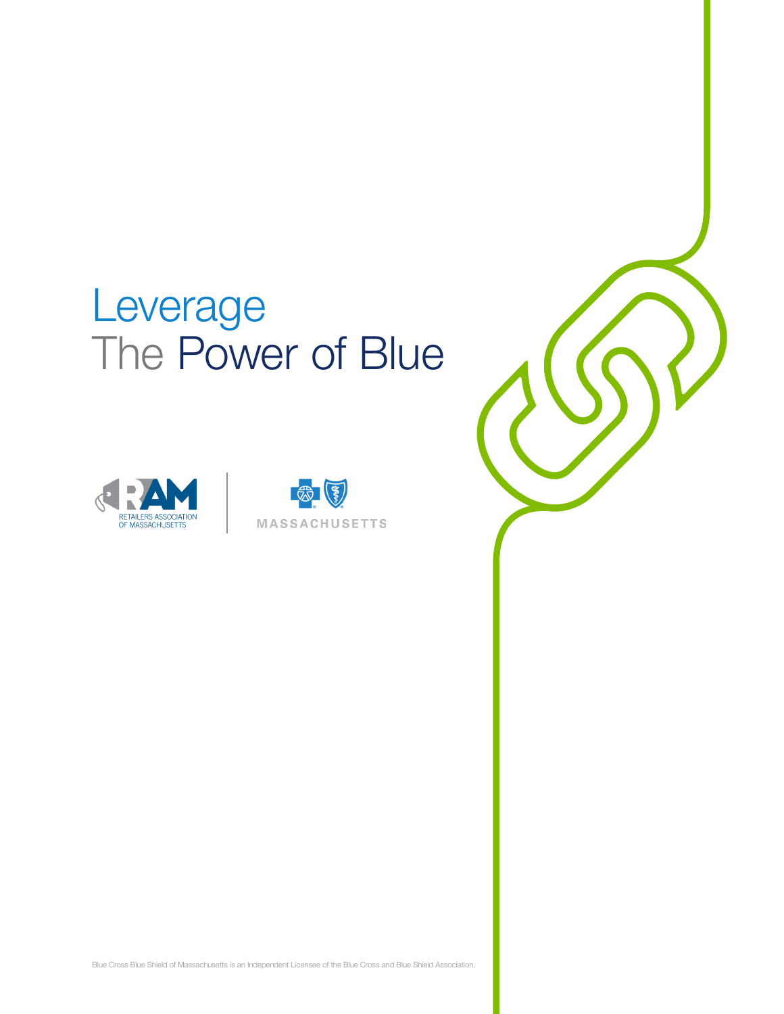# Leverage The Power of Blue





Blue Cross Blue Shield of Massachusetts is an Independent Licensee of the Blue Cross and Blue Shield Association.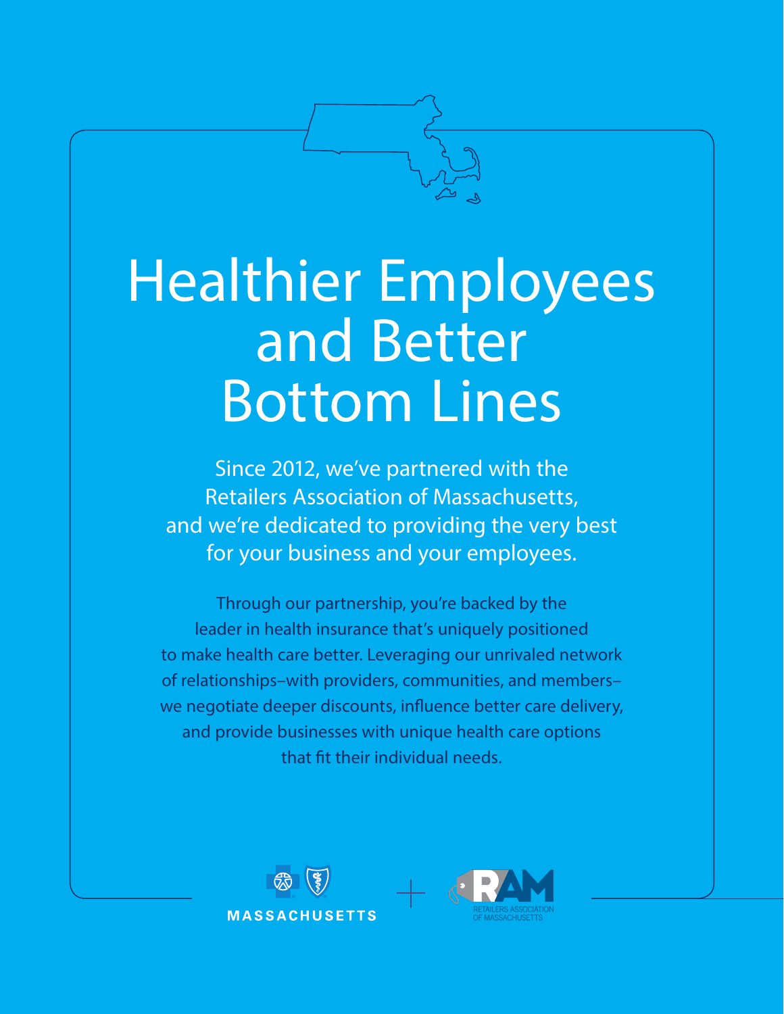

# Healthier Employees and Better Bottom Lines

Since 2012, we've partnered with the Retailers Association of Massachusetts, and we're dedicated to providing the very best for your business and your employees.

Through our partnership, you're backed by the leader in health insurance that's uniquely positioned to make health care better. Leveraging our unrivaled network of relationships–with providers, communities, and members– we negotiate deeper discounts, influence better care delivery, and provide businesses with unique health care options that fit their individual needs.



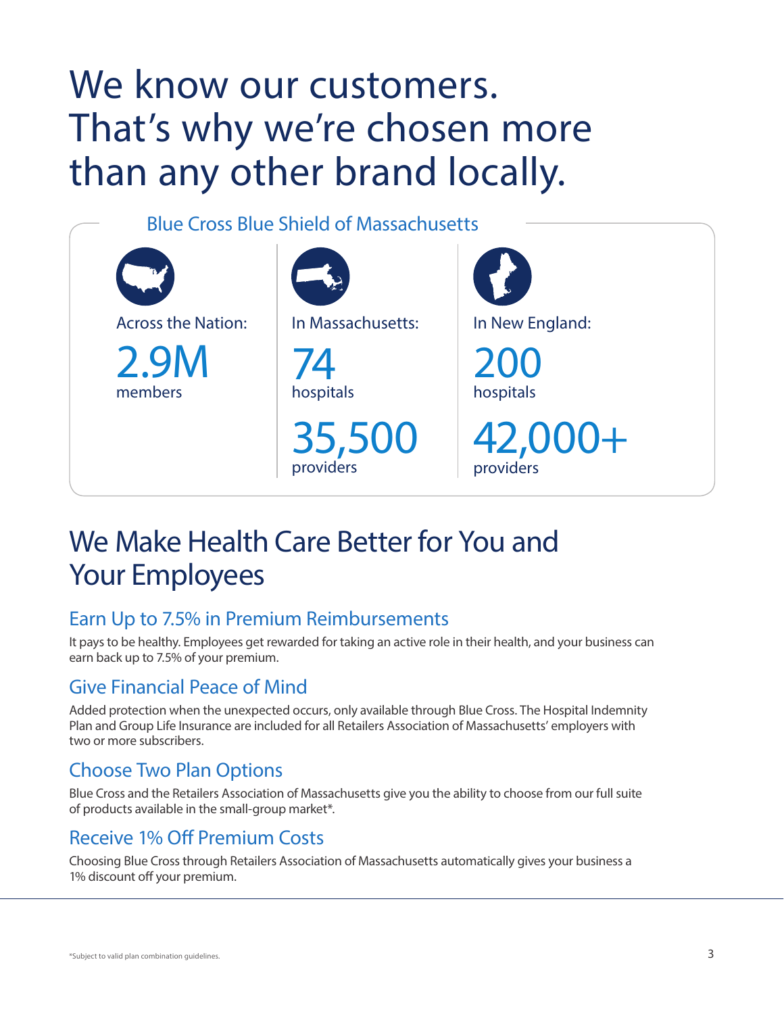## We know our customers. That's why we're chosen more than any other brand locally.

Blue Cross Blue Shield of Massachusetts



### We Make Health Care Better for You and Your Employees

#### Earn Up to 7.5% in Premium Reimbursements

It pays to be healthy. Employees get rewarded for taking an active role in their health, and your business can earn back up to 7.5% of your premium.

#### Give Financial Peace of Mind

Added protection when the unexpected occurs, only available through Blue Cross. The Hospital Indemnity Plan and Group Life Insurance are included for all Retailers Association of Massachusetts' employers with two or more subscribers.

### Choose Two Plan Options

Blue Cross and the Retailers Association of Massachusetts give you the ability to choose from our full suite of products available in the small-group market\*.

### Receive 1% Off Premium Costs

Choosing Blue Cross through Retailers Association of Massachusetts automatically gives your business a 1% discount off your premium.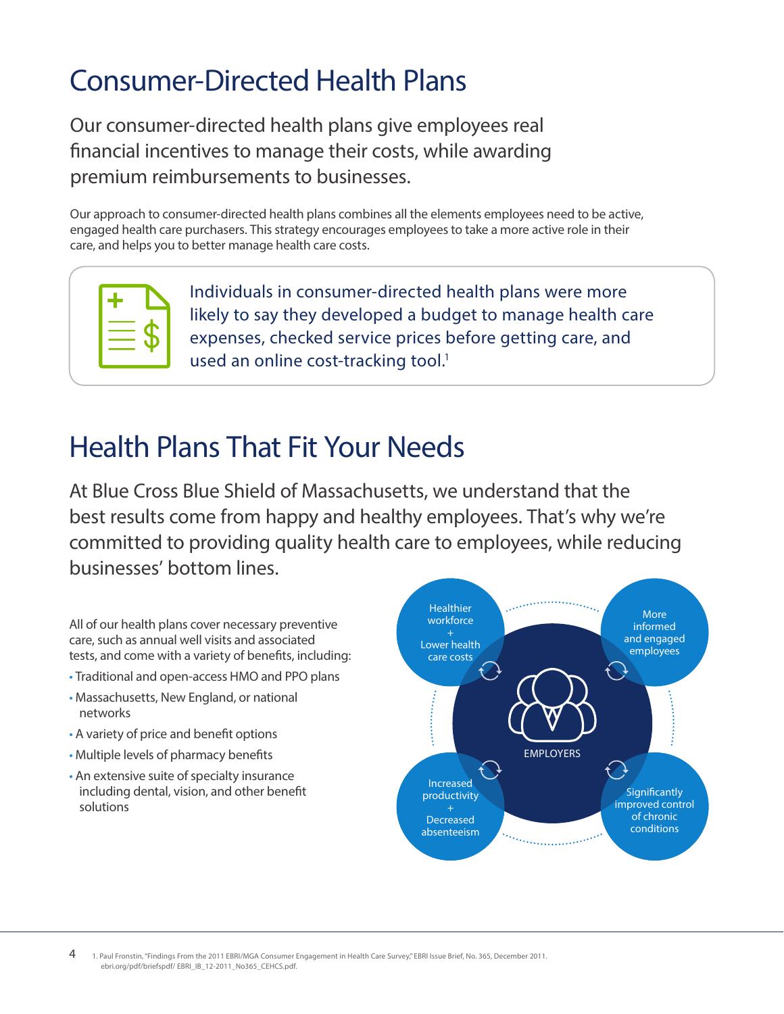### Consumer-Directed Health Plans

Our consumer-directed health plans give employees real financial incentives to manage their costs, while awarding premium reimbursements to businesses.

Our approach to consumer-directed health plans combines all the elements employees need to be active, engaged health care purchasers. This strategy encourages employees to take a more active role in their care, and helps you to better manage health care costs.



Individuals in consumer-directed health plans were more likely to say they developed a budget to manage health care expenses, checked service prices before getting care, and used an online cost-tracking tool.<sup>1</sup>

### Health Plans That Fit Your Needs

At Blue Cross Blue Shield of Massachusetts, we understand that the best results come from happy and healthy employees. That's why we're committed to providing quality health care to employees, while reducing businesses' bottom lines.

All of our health plans cover necessary preventive care, such as annual well visits and associated tests, and come with a variety of benefits, including:

- Traditional and open-access HMO and PPO plans
- Massachusetts, New England, or national networks
- A variety of price and benefit options
- Multiple levels of pharmacy benefits
- An extensive suite of specialty insurance including dental, vision, and other benefit solutions

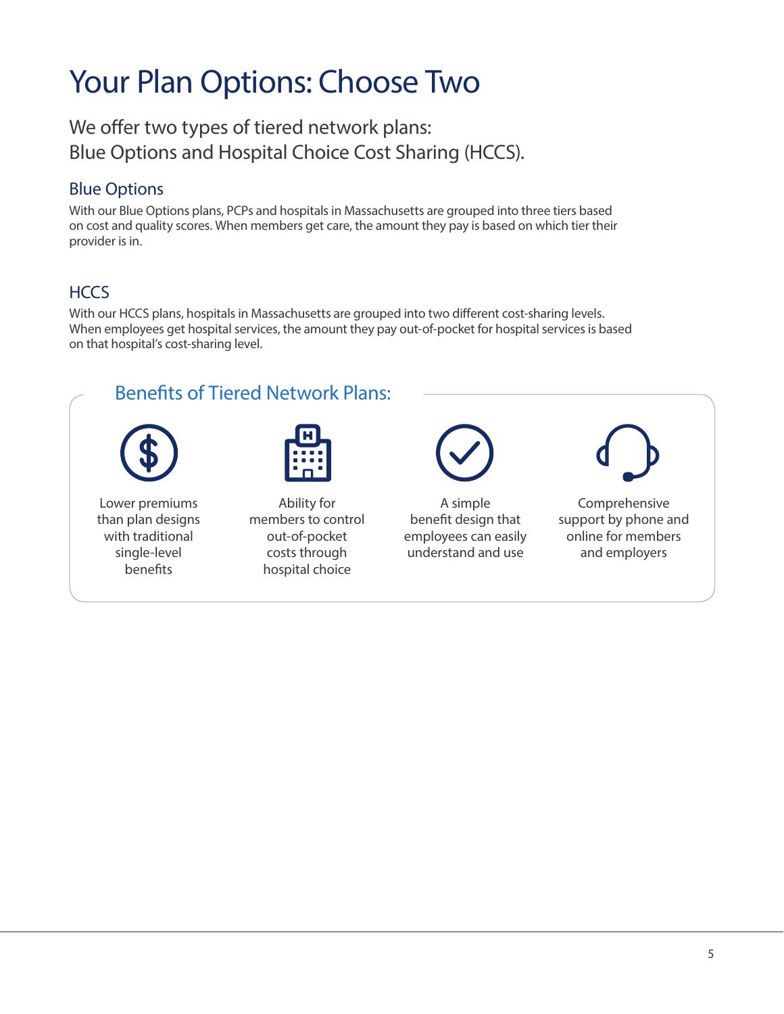### Your Plan Options: Choose Two

We offer two types of tiered network plans: Blue Options and Hospital Choice Cost Sharing (HCCS).

### Blue Options

With our Blue Options plans, PCPs and hospitals in Massachusetts are grouped into three tiers based on cost and quality scores. When members get care, the amount they pay is based on which tier their provider is in.

### **HCCS**

With our HCCS plans, hospitals in Massachusetts are grouped into two different cost-sharing levels. When employees get hospital services, the amount they pay out-of-pocket for hospital services is based on that hospital's cost-sharing level.

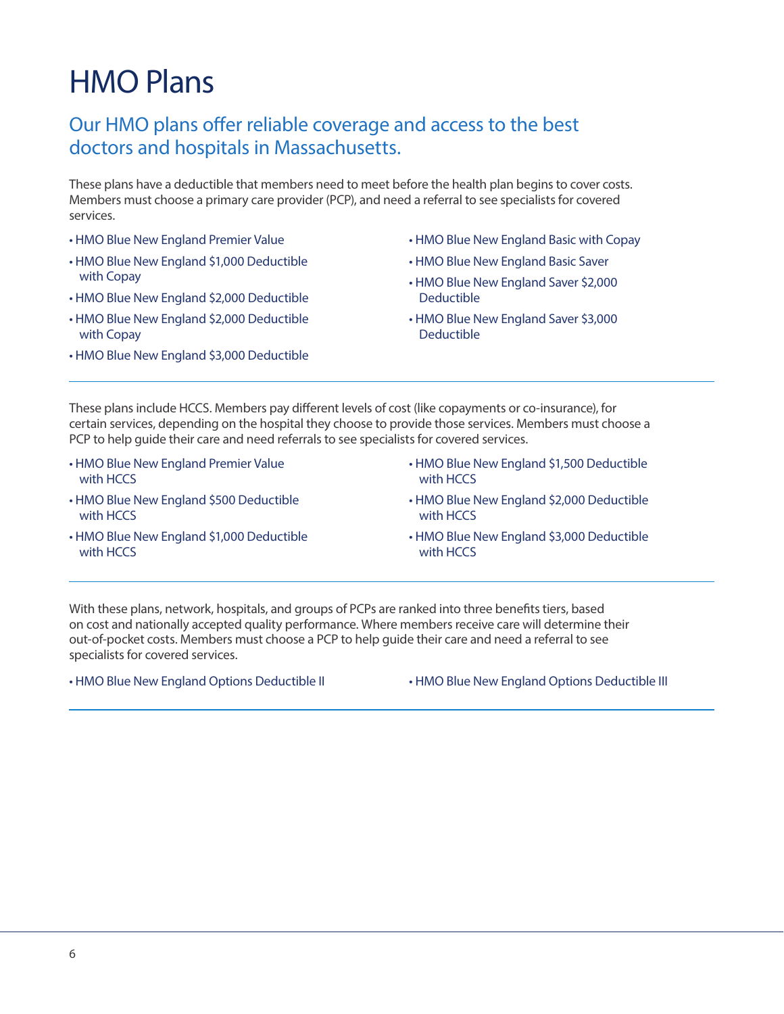### HMO Plans

#### Our HMO plans offer reliable coverage and access to the best doctors and hospitals in Massachusetts.

These plans have a deductible that members need to meet before the health plan begins to cover costs. Members must choose a primary care provider (PCP), and need a referral to see specialists for covered services.

- HMO Blue New England Premier Value
- HMO Blue New England \$1,000 Deductible with Copay
- HMO Blue New England \$2,000 Deductible
- HMO Blue New England \$2,000 Deductible with Copay
- HMO Blue New England \$3,000 Deductible
- HMO Blue New England Basic with Copay
- HMO Blue New England Basic Saver
- HMO Blue New England Saver \$2,000 Deductible
- HMO Blue New England Saver \$3,000 Deductible

These plans include HCCS. Members pay different levels of cost (like copayments or co-insurance), for certain services, depending on the hospital they choose to provide those services. Members must choose a PCP to help guide their care and need referrals to see specialists for covered services.

- HMO Blue New England Premier Value with HCCS
- HMO Blue New England \$500 Deductible with HCCS
- HMO Blue New England \$1,000 Deductible with HCCS
- HMO Blue New England \$1,500 Deductible with HCCS
- HMO Blue New England \$2,000 Deductible with HCCS
- HMO Blue New England \$3,000 Deductible with HCCS

With these plans, network, hospitals, and groups of PCPs are ranked into three benefits tiers, based on cost and nationally accepted quality performance. Where members receive care will determine their out-of-pocket costs. Members must choose a PCP to help guide their care and need a referral to see specialists for covered services.

• HMO Blue New England Options Deductible II • HMO Blue New England Options Deductible III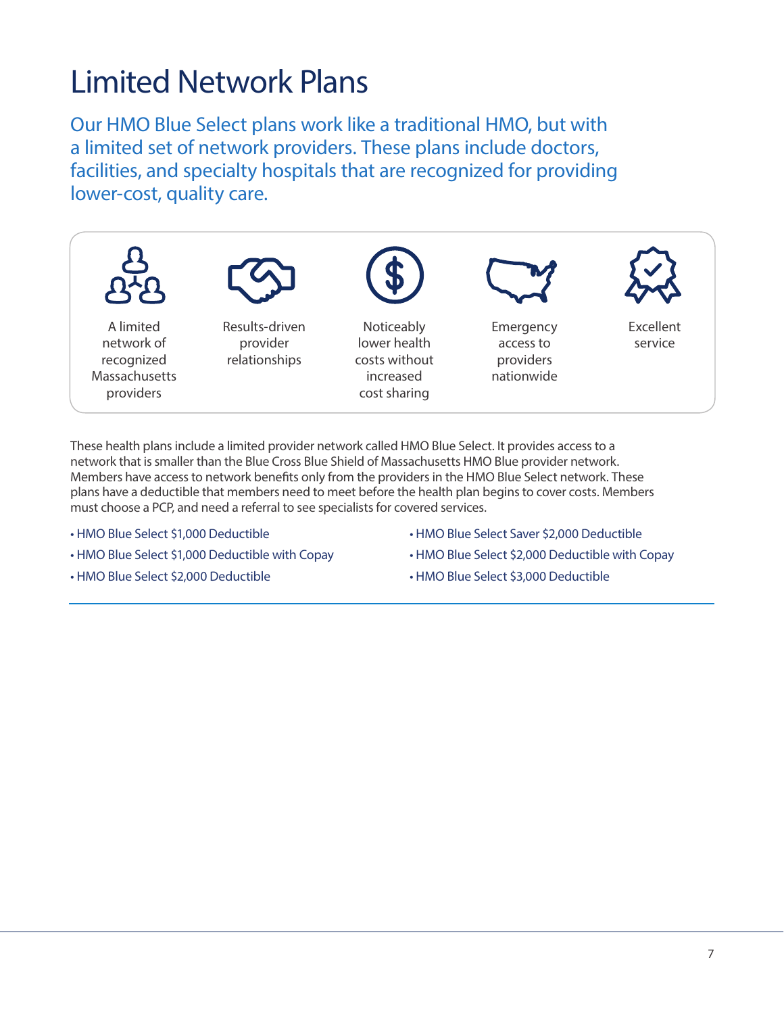### Limited Network Plans

Our HMO Blue Select plans work like a traditional HMO, but with a limited set of network providers. These plans include doctors, facilities, and specialty hospitals that are recognized for providing lower-cost, quality care.



These health plans include a limited provider network called HMO Blue Select. It provides access to a network that is smaller than the Blue Cross Blue Shield of Massachusetts HMO Blue provider network. Members have access to network benefits only from the providers in the HMO Blue Select network. These plans have a deductible that members need to meet before the health plan begins to cover costs. Members must choose a PCP, and need a referral to see specialists for covered services.

- HMO Blue Select \$1,000 Deductible
- HMO Blue Select \$1,000 Deductible with Copay
- HMO Blue Select \$2,000 Deductible
- HMO Blue Select Saver \$2,000 Deductible
- HMO Blue Select \$2,000 Deductible with Copay
- HMO Blue Select \$3,000 Deductible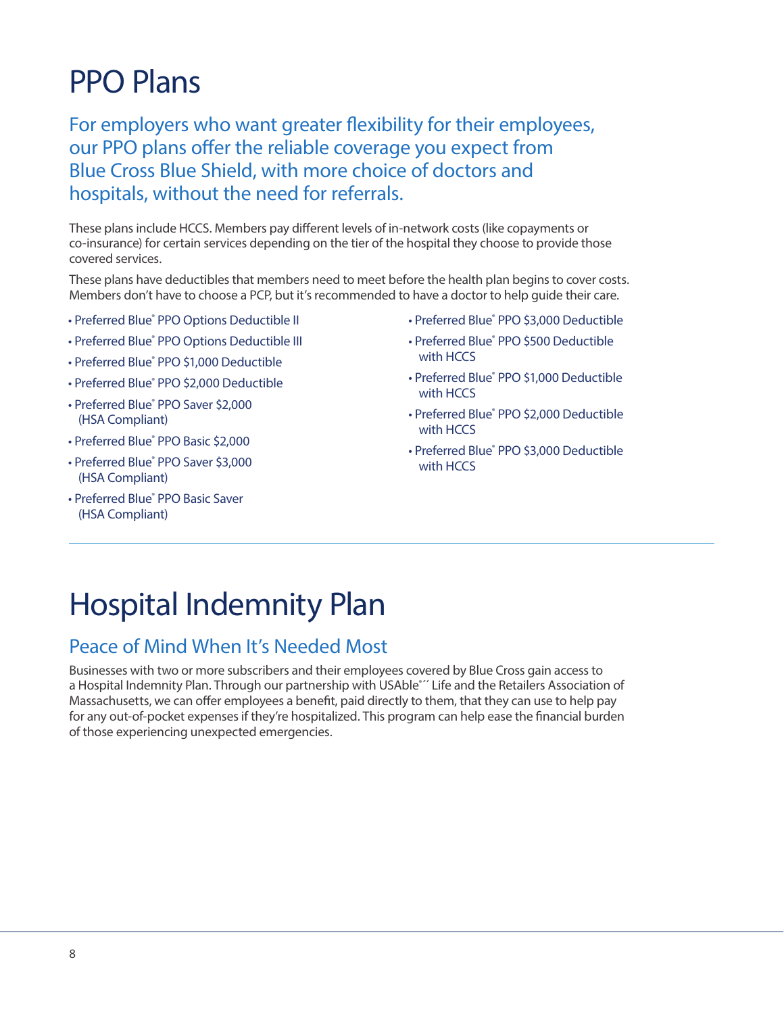### PPO Plans

For employers who want greater flexibility for their employees, our PPO plans offer the reliable coverage you expect from Blue Cross Blue Shield, with more choice of doctors and hospitals, without the need for referrals.

These plans include HCCS. Members pay different levels of in-network costs (like copayments or co-insurance) for certain services depending on the tier of the hospital they choose to provide those covered services.

These plans have deductibles that members need to meet before the health plan begins to cover costs. Members don't have to choose a PCP, but it's recommended to have a doctor to help guide their care.

- Preferred Blue® PPO Options Deductible II
- Preferred Blue® PPO Options Deductible III
- Preferred Blue® PPO \$1,000 Deductible
- Preferred Blue® PPO \$2,000 Deductible
- Preferred Blue® PPO Saver \$2,000 (HSA Compliant)
- Preferred Blue® PPO Basic \$2,000
- Preferred Blue® PPO Saver \$3,000 (HSA Compliant)
- Preferred Blue® PPO Basic Saver (HSA Compliant)
- Preferred Blue® PPO \$3,000 Deductible
- Preferred Blue® PPO \$500 Deductible with **HCCS**
- Preferred Blue® PPO \$1,000 Deductible with HCCS
- Preferred Blue® PPO \$2,000 Deductible with HCCS
- Preferred Blue® PPO \$3,000 Deductible with HCCS

### Hospital Indemnity Plan

#### Peace of Mind When It's Needed Most

Businesses with two or more subscribers and their employees covered by Blue Cross gain access to a Hospital Indemnity Plan. Through our partnership with USAble<sup>\*</sup>' Life and the Retailers Association of Massachusetts, we can offer employees a benefit, paid directly to them, that they can use to help pay for any out-of-pocket expenses if they're hospitalized. This program can help ease the financial burden of those experiencing unexpected emergencies.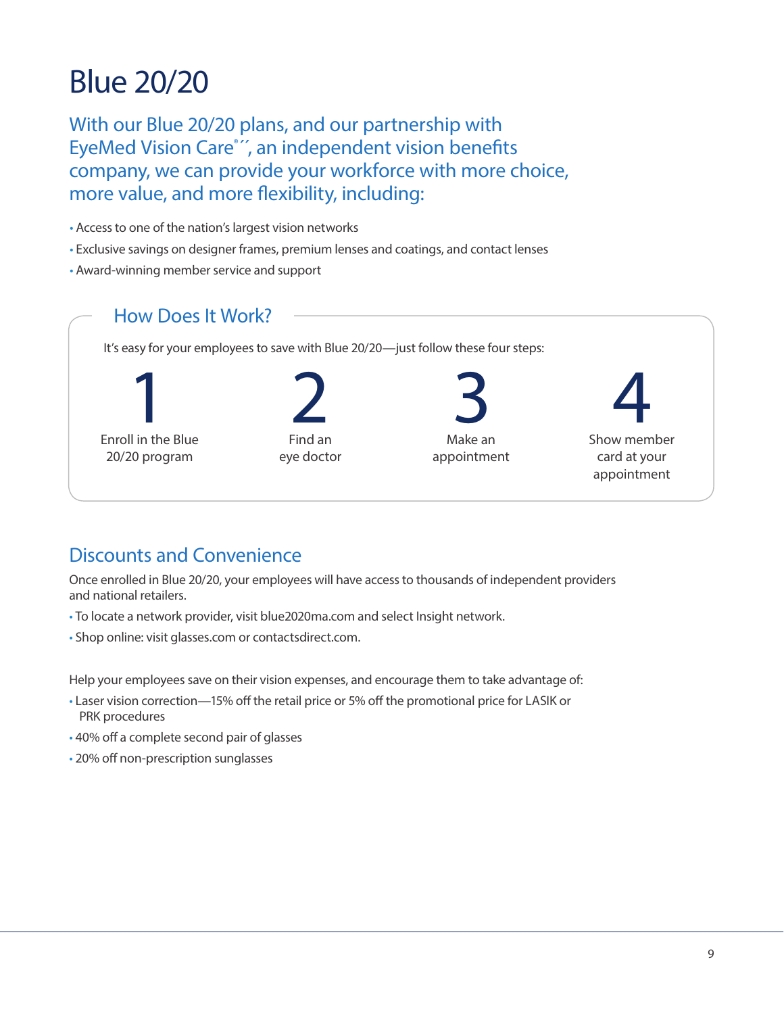### Blue 20/20

With our Blue 20/20 plans, and our partnership with EyeMed Vision Care<sup>®</sup>", an independent vision benefits company, we can provide your workforce with more choice, more value, and more flexibility, including:

- Access to one of the nation's largest vision networks
- Exclusive savings on designer frames, premium lenses and coatings, and contact lenses
- Award-winning member service and support



#### Discounts and Convenience

Once enrolled in Blue 20/20, your employees will have access to thousands of independent providers and national retailers.

- To locate a network provider, visit blue2020ma.com and select Insight network.
- Shop online: visit glasses.com or contactsdirect.com.

Help your employees save on their vision expenses, and encourage them to take advantage of:

- Laser vision correction—15% off the retail price or 5% off the promotional price for LASIK or PRK procedures
- 40% off a complete second pair of glasses
- 20% off non-prescription sunglasses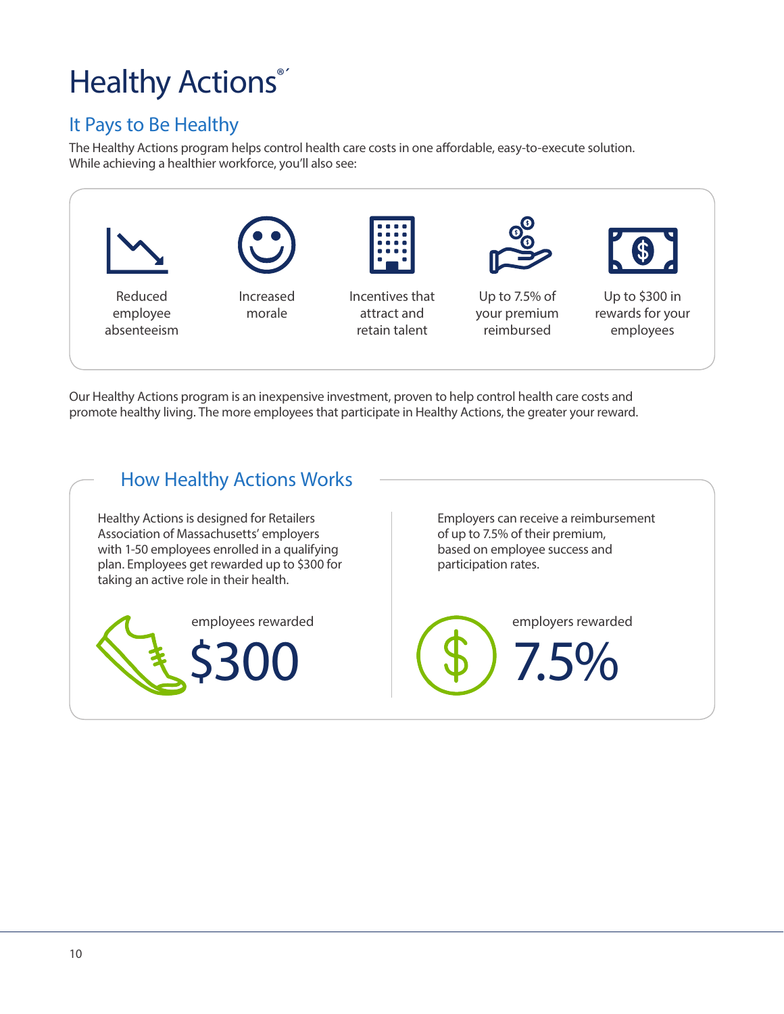### Healthy Actions®

### It Pays to Be Healthy

The Healthy Actions program helps control health care costs in one affordable, easy-to-execute solution. While achieving a healthier workforce, you'll also see:



Our Healthy Actions program is an inexpensive investment, proven to help control health care costs and promote healthy living. The more employees that participate in Healthy Actions, the greater your reward.

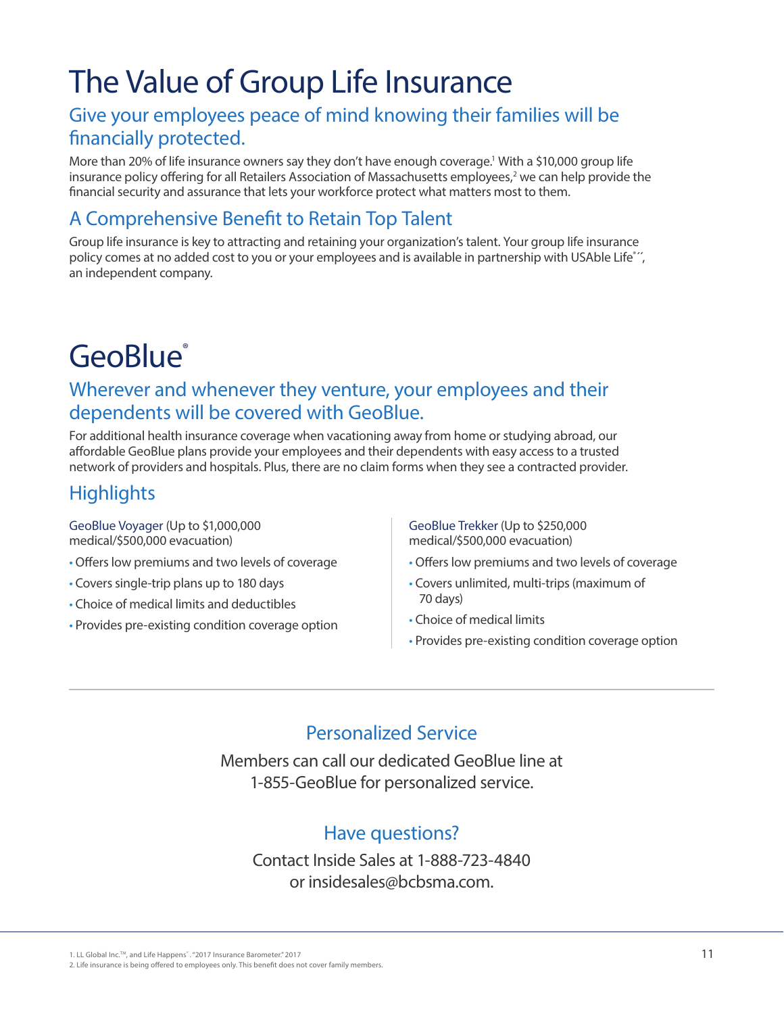### The Value of Group Life Insurance

#### Give your employees peace of mind knowing their families will be financially protected.

More than 20% of life insurance owners say they don't have enough coverage.' With a \$10,000 group life insurance policy offering for all Retailers Association of Massachusetts employees,<sup>2</sup> we can help provide the financial security and assurance that lets your workforce protect what matters most to them.

#### A Comprehensive Benefit to Retain Top Talent

Group life insurance is key to attracting and retaining your organization's talent. Your group life insurance policy comes at no added cost to you or your employees and is available in partnership with USAble Life<sup>\*</sup>'', an independent company.

### GeoBlue<sup>®</sup>

#### Wherever and whenever they venture, your employees and their dependents will be covered with GeoBlue.

For additional health insurance coverage when vacationing away from home or studying abroad, our affordable GeoBlue plans provide your employees and their dependents with easy access to a trusted network of providers and hospitals. Plus, there are no claim forms when they see a contracted provider.

### **Highlights**

GeoBlue Voyager (Up to \$1,000,000 medical/\$500,000 evacuation)

- Offers low premiums and two levels of coverage
- Covers single-trip plans up to 180 days
- Choice of medical limits and deductibles
- Provides pre-existing condition coverage option

GeoBlue Trekker (Up to \$250,000 medical/\$500,000 evacuation)

- Offers low premiums and two levels of coverage
- Covers unlimited, multi-trips (maximum of 70 days)
- Choice of medical limits
- Provides pre-existing condition coverage option

#### Personalized Service

Members can call our dedicated GeoBlue line at 1-855-GeoBlue for personalized service.

#### Have questions?

Contact Inside Sales at 1-888-723-4840 or insidesales@bcbsma.com.

1. LL Global Inc.TM, and Life Happens®´. "2017 Insurance Barometer." 2017

2. Life insurance is being offered to employees only. This benefit does not cover family members.